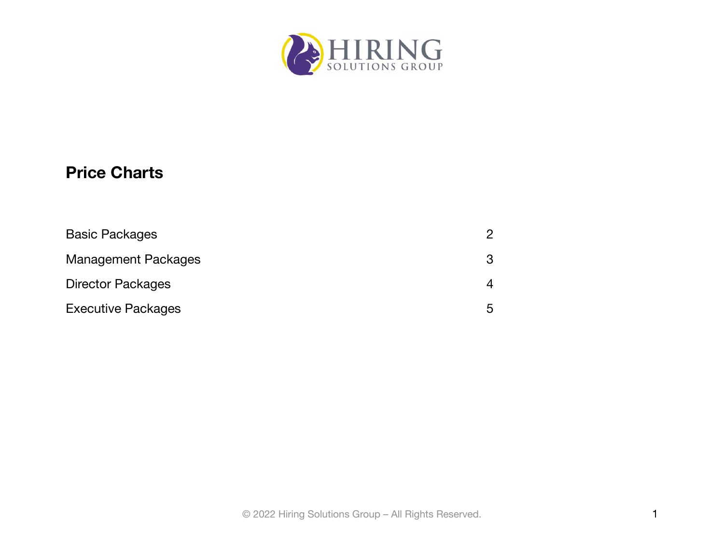

# **Price Charts**

| <b>Basic Packages</b>      |   |
|----------------------------|---|
| <b>Management Packages</b> | 3 |
| <b>Director Packages</b>   |   |
| <b>Executive Packages</b>  | h |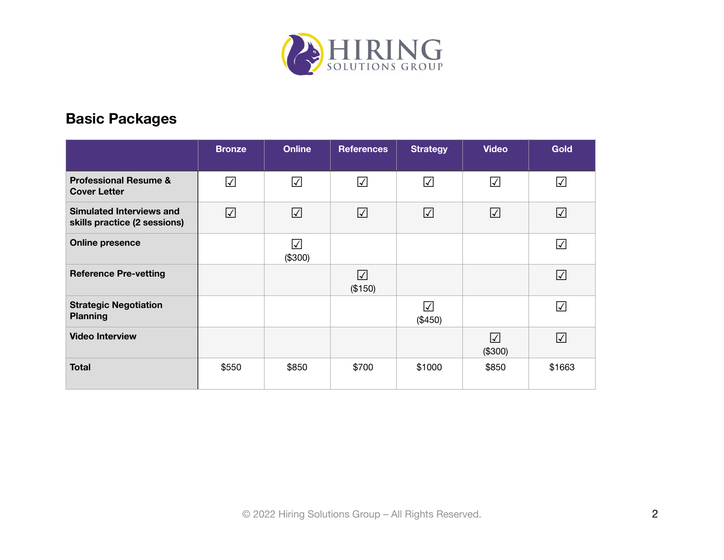

#### <span id="page-1-0"></span>**Basic Packages**

|                                                                 | <b>Bronze</b> | <b>Online</b>         | <b>References</b>    | <b>Strategy</b>      | <b>Video</b>         | <b>Gold</b>              |
|-----------------------------------------------------------------|---------------|-----------------------|----------------------|----------------------|----------------------|--------------------------|
| <b>Professional Resume &amp;</b><br><b>Cover Letter</b>         | $\sqrt{}$     | $\sqrt{}$             | $\sqrt{}$            | $\sqrt{ }$           | $\sqrt{}$            | $\Delta$                 |
| <b>Simulated Interviews and</b><br>skills practice (2 sessions) | $\sqrt{}$     | $\sqrt{ }$            | $\sqrt{2}$           | $\sqrt{}$            | $\sqrt{ }$           | $\sqrt{ }$               |
| <b>Online presence</b>                                          |               | $\sqrt{ }$<br>(\$300) |                      |                      |                      | $\sqrt{ }$               |
| <b>Reference Pre-vetting</b>                                    |               |                       | $\sqrt{}$<br>(\$150) |                      |                      | $\sqrt{}$                |
| <b>Strategic Negotiation</b><br><b>Planning</b>                 |               |                       |                      | $\sqrt{}$<br>(\$450) |                      | $\overline{\mathscr{L}}$ |
| <b>Video Interview</b>                                          |               |                       |                      |                      | $\sqrt{}$<br>(\$300) | $\sqrt{}$                |
| <b>Total</b>                                                    | \$550         | \$850                 | \$700                | \$1000               | \$850                | \$1663                   |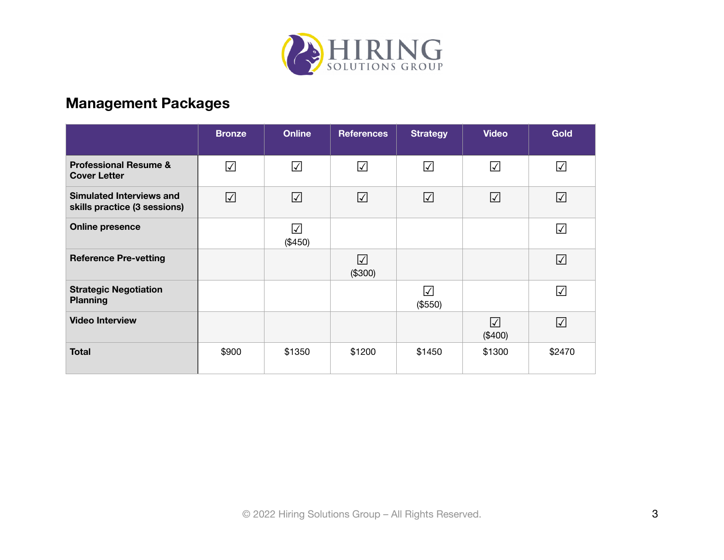

## <span id="page-2-0"></span>**Management Packages**

|                                                                 | <b>Bronze</b>                   | <b>Online</b> | <b>References</b>                          | <b>Strategy</b>      | <b>Video</b>             | <b>Gold</b> |
|-----------------------------------------------------------------|---------------------------------|---------------|--------------------------------------------|----------------------|--------------------------|-------------|
| <b>Professional Resume &amp;</b><br><b>Cover Letter</b>         | $\overline{\blacktriangledown}$ | $\sqrt{}$     | $\sqrt{}$                                  | $\triangledown$      | $\overline{\mathcal{A}}$ | $\Delta$    |
| <b>Simulated Interviews and</b><br>skills practice (3 sessions) | $\sqrt{}$                       | $\Delta$      | $\sqrt{}$                                  | $\sqrt{ }$           | $\sqrt{ }$               | $\sqrt{ }$  |
| <b>Online presence</b>                                          |                                 | ☑<br>(\$450)  |                                            |                      |                          | $\Delta$    |
| <b>Reference Pre-vetting</b>                                    |                                 |               | $\overline{\blacktriangledown}$<br>(\$300) |                      |                          | $\sqrt{}$   |
| <b>Strategic Negotiation</b><br><b>Planning</b>                 |                                 |               |                                            | $\sqrt{}$<br>(\$550) |                          | $\sqrt{}$   |
| <b>Video Interview</b>                                          |                                 |               |                                            |                      | $\sqrt{}$<br>(\$400)     | $\Delta$    |
| <b>Total</b>                                                    | \$900                           | \$1350        | \$1200                                     | \$1450               | \$1300                   | \$2470      |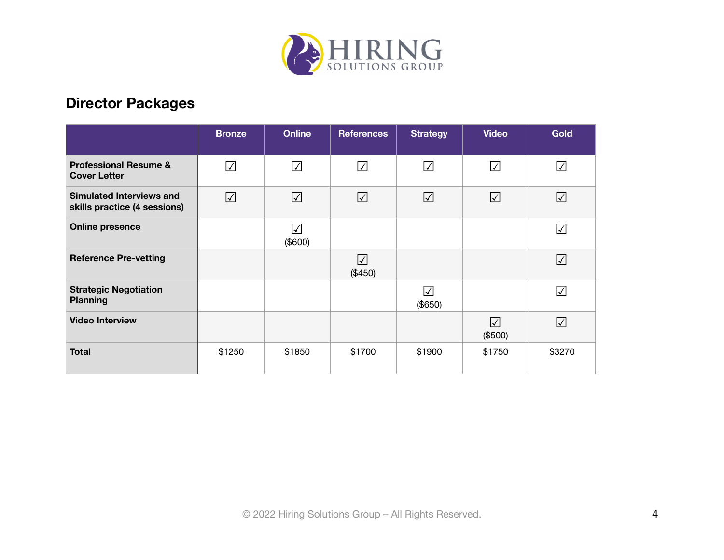

## <span id="page-3-0"></span>**Director Packages**

|                                                          | <b>Bronze</b>           | <b>Online</b> | <b>References</b>     | <b>Strategy</b>      | <b>Video</b>         | <b>Gold</b> |
|----------------------------------------------------------|-------------------------|---------------|-----------------------|----------------------|----------------------|-------------|
| <b>Professional Resume &amp;</b><br><b>Cover Letter</b>  | $\overline{\checkmark}$ | $\sqrt{}$     | $\sqrt{}$             | $\sqrt{}$            | ☑                    | $\Delta$    |
| Simulated Interviews and<br>skills practice (4 sessions) | $\sqrt{}$               | $\sqrt{2}$    | $\sqrt{}$             | $\sqrt{}$            | $\blacktriangledown$ | $\sqrt{}$   |
| <b>Online presence</b>                                   |                         | ☑<br>(\$600)  |                       |                      |                      | $\Delta$    |
| <b>Reference Pre-vetting</b>                             |                         |               | $\sqrt{ }$<br>(\$450) |                      |                      | $\sqrt{}$   |
| <b>Strategic Negotiation</b><br><b>Planning</b>          |                         |               |                       | $\sqrt{}$<br>(\$650) |                      | $\sqrt{}$   |
| <b>Video Interview</b>                                   |                         |               |                       |                      | ☑<br>(\$500)         | $\Delta$    |
| <b>Total</b>                                             | \$1250                  | \$1850        | \$1700                | \$1900               | \$1750               | \$3270      |